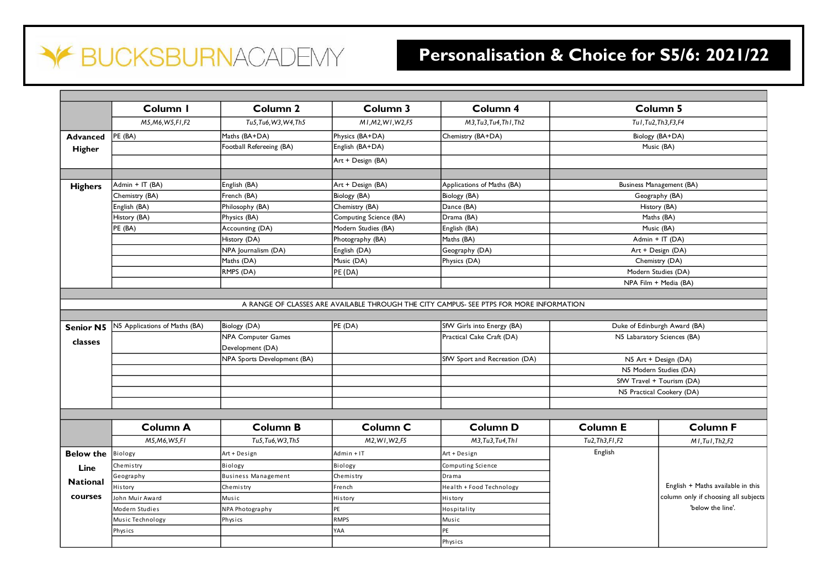## **BUCKSBURNACADEMY**  $\blacktriangledown$

## **Personalisation & Choice for S5/6: 2021/22**

|                  | Column I                      | Column <sub>2</sub>         | Column 3               | Column 4                                                                                |                        | <b>Column 5</b>                      |
|------------------|-------------------------------|-----------------------------|------------------------|-----------------------------------------------------------------------------------------|------------------------|--------------------------------------|
|                  | M5, M6, W5, F1, F2            | Tu5.Tu6.W3.W4.Th5           | M1.M2.W1.W2.F5         | M3.Tu3.Tu4.Th1.Th2                                                                      |                        | Tu1, Tu2, Th3, F3, F4                |
| <b>Advanced</b>  | PE (BA)                       | Maths (BA+DA)               | Physics (BA+DA)        | Chemistry (BA+DA)                                                                       |                        | Biology (BA+DA)                      |
| Higher           |                               | Football Refereeing (BA)    | English (BA+DA)        |                                                                                         |                        | Music (BA)                           |
|                  |                               |                             | Art + Design (BA)      |                                                                                         |                        |                                      |
| <b>Highers</b>   | Admin + IT (BA)               | English (BA)                | Art + Design (BA)      | Applications of Maths (BA)                                                              |                        | Business Management (BA)             |
|                  | Chemistry (BA)                | French (BA)                 | Biology (BA)           | Biology (BA)                                                                            | Geography (BA)         |                                      |
|                  | English (BA)                  | Philosophy (BA)             | Chemistry (BA)         | Dance (BA)                                                                              | History (BA)           |                                      |
|                  | History (BA)                  | Physics (BA)                | Computing Science (BA) | Drama (BA)                                                                              | Maths (BA)             |                                      |
|                  | PE (BA)                       | Accounting (DA)             | Modern Studies (BA)    | English (BA)                                                                            | Music (BA)             |                                      |
|                  |                               | History (DA)                | Photography (BA)       | Maths (BA)                                                                              |                        | Admin + IT (DA)                      |
|                  |                               | NPA Journalism (DA)         | English (DA)           | Geography (DA)                                                                          |                        | Art + Design (DA)                    |
|                  |                               | Maths (DA)                  | Music (DA)             | Physics (DA)                                                                            |                        | Chemistry (DA)                       |
|                  |                               | RMPS (DA)                   | PE (DA)                |                                                                                         |                        | Modern Studies (DA)                  |
|                  |                               |                             |                        |                                                                                         | NPA Film + Media (BA)  |                                      |
|                  |                               |                             |                        |                                                                                         |                        |                                      |
|                  |                               |                             |                        | A RANGE OF CLASSES ARE AVAILABLE THROUGH THE CITY CAMPUS- SEE PTPS FOR MORE INFORMATION |                        |                                      |
|                  |                               |                             |                        |                                                                                         |                        |                                      |
| <b>Senior N5</b> | N5 Applications of Maths (BA) | Biology (DA)                | PE (DA)                | SfW Girls into Energy (BA)                                                              |                        | Duke of Edinburgh Award (BA)         |
|                  |                               | <b>NPA Computer Games</b>   |                        | Practical Cake Craft (DA)                                                               |                        | N5 Labaratory Sciences (BA)          |
| classes          |                               | Development (DA)            |                        |                                                                                         |                        |                                      |
|                  |                               | NPA Sports Development (BA) |                        | SfW Sport and Recreation (DA)                                                           | N5 Art + Design (DA)   |                                      |
|                  |                               |                             |                        |                                                                                         | N5 Modern Studies (DA) |                                      |
|                  |                               |                             |                        |                                                                                         |                        |                                      |
|                  |                               |                             |                        |                                                                                         |                        |                                      |
|                  |                               |                             |                        |                                                                                         |                        | SfW Travel + Tourism (DA)            |
|                  |                               |                             |                        |                                                                                         |                        | N5 Practical Cookery (DA)            |
|                  |                               |                             |                        |                                                                                         |                        |                                      |
|                  | <b>Column A</b>               | <b>Column B</b>             | Column <sub>C</sub>    | <b>Column D</b>                                                                         | <b>Column E</b>        | <b>Column F</b>                      |
|                  | M5, M6, W5, FI                | Tu5, Tu6, W3, Th5           | M2, W1, W2, F5         | M3, Tu3, Tu4, Th1                                                                       | Tu2, Th3, F1, F2       | MI.Tul.Th2.F2                        |
| <b>Below the</b> | Biology                       | Art + Design                | Admin + IT             | Art + Design                                                                            | English                |                                      |
| Line             | Chemistry                     | Biology                     | Biology                | Computing Science                                                                       |                        |                                      |
|                  | Geography                     | <b>Business Management</b>  | Chemistry              | Drama                                                                                   |                        |                                      |
| <b>National</b>  | History                       | Chemistry                   | French                 | Health + Food Technology                                                                |                        | English + Maths available in this    |
| courses          | John Muir Award               | Music                       | History                | History                                                                                 |                        |                                      |
|                  | Modern Studies                | NPA Photography             | PE                     | Hospitality                                                                             |                        | 'below the line'.                    |
|                  | Music Technology              | Physics                     | <b>RMPS</b>            | Music                                                                                   |                        |                                      |
|                  | Physics                       |                             | YAA                    | PE                                                                                      |                        | column only if choosing all subjects |